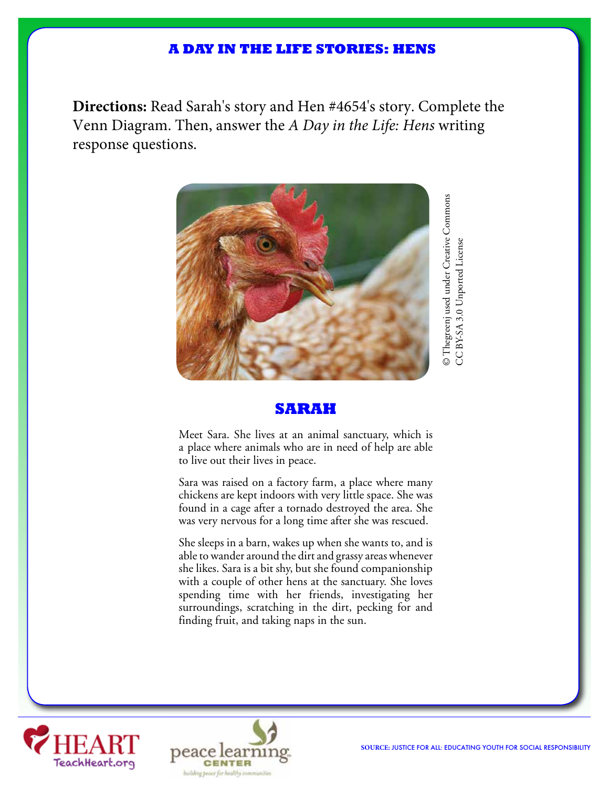## **A DAY IN THE LIFE STORIES: HENS**

**Directions:** Read Sarah's story and Hen #4654's story. Complete the Venn Diagram. Then, answer the *A Day in the Life: Hens* writing response questions.



### **SARAH**

Meet Sara. She lives at an animal sanctuary, which is a place where animals who are in need of help are able to live out their lives in peace.

Sara was raised on a factory farm, a place where many chickens are kept indoors with very little space. She was found in a cage after a tornado destroyed the area. She was very nervous for a long time after she was rescued.

She sleeps in a barn, wakes up when she wants to, and is able to wander around the dirt and grassy areas whenever she likes. Sara is a bit shy, but she found companionship with a couple of other hens at the sanctuary. She loves spending time with her friends, investigating her surroundings, scratching in the dirt, pecking for and finding fruit, and taking naps in the sun.





CC BY-SA 3.0 Unported License

CC BY-SA 3.0 Unported License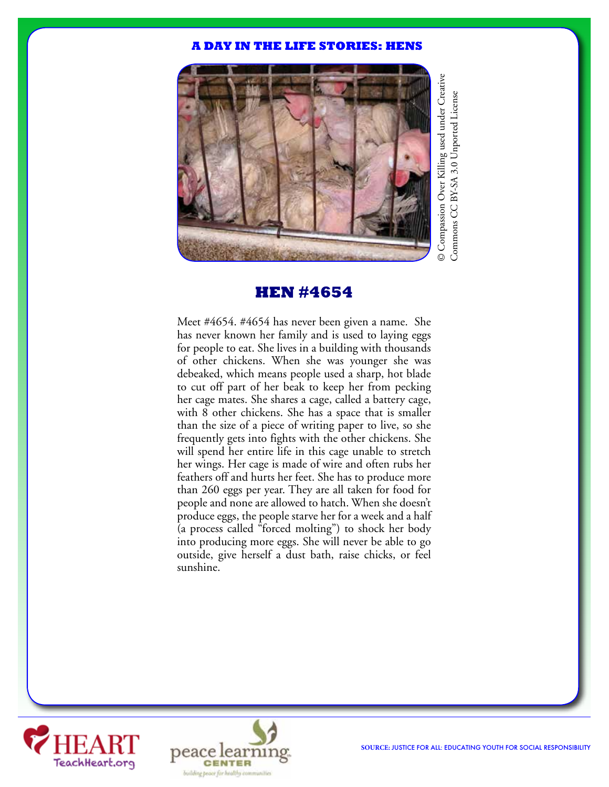#### **A DAY IN THE LIFE STORIES: HENS**



## **HEN #4654**

Meet #4654. #4654 has never been given a name. She has never known her family and is used to laying eggs for people to eat. She lives in a building with thousands of other chickens. When she was younger she was debeaked, which means people used a sharp, hot blade to cut off part of her beak to keep her from pecking her cage mates. She shares a cage, called a battery cage, with 8 other chickens. She has a space that is smaller than the size of a piece of writing paper to live, so she frequently gets into fights with the other chickens. She will spend her entire life in this cage unable to stretch her wings. Her cage is made of wire and often rubs her feathers off and hurts her feet. She has to produce more than 260 eggs per year. They are all taken for food for people and none are allowed to hatch. When she doesn't produce eggs, the people starve her for a week and a half (a process called "forced molting") to shock her body into producing more eggs. She will never be able to go outside, give herself a dust bath, raise chicks, or feel sunshine.



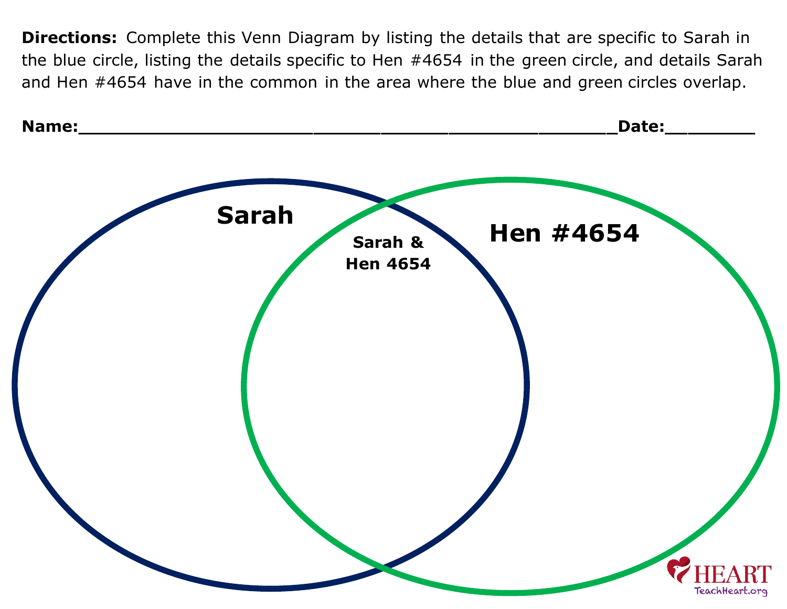**Directions:** Complete this Venn Diagram by listing the details that are specific to Sarah in the blue circle, listing the details specific to Hen #4654 in the green circle, and details Sarah and Hen #4654 have in the common in the area where the blue and green circles overlap.